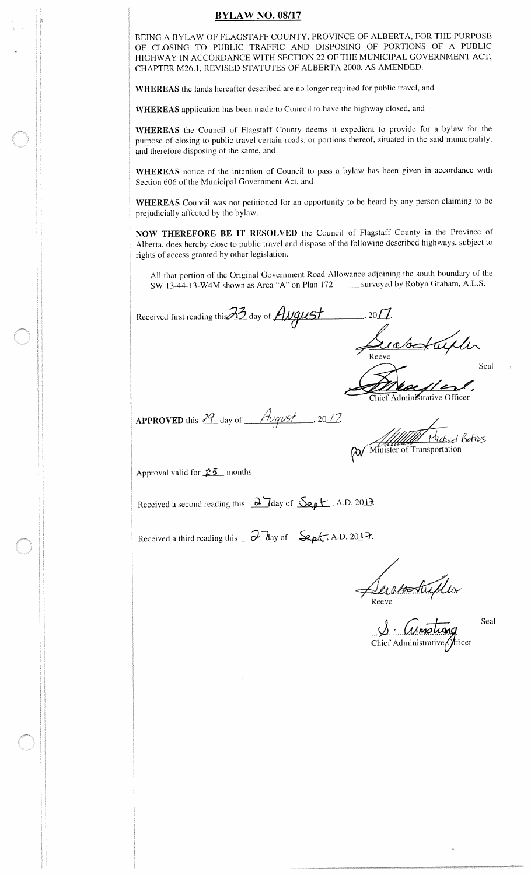## **BYLAW NO. 08/17**

BEING A BYLAW OF FLAGSTAFF COUNTY, PROVINCE OF ALBERTA, FOR THE PURPOSE OF CLOSING TO PUBLIC TRAFFIC AND DISPOSING OF PORTIONS OF A PUBLIC HIGHWAY IN ACCORDANCE WITH SECTION 22 OF THE MUNICIPAL GOVERNMENT ACT, CHAPTER M26. 1, REVISED STATUTES OF ALBERTA 2000, AS AMENDED.

WHEREAS the lands hereafter described are no longer required for public travel, and

WHEREAS application has been made to Council to have the highway closed, and

WHEREAS the Council of Flagstaff County deems it expedient to provide for <sup>a</sup> bylaw for the purpose of closing to public travel certain roads, or portions thereof, situated in the said municipality, and therefore disposing of the same, and

WHEREAS notice of the intention of Council to pass <sup>a</sup> bylaw has been given in accordance with Section 606 of the Municipal Government Act, and

WHEREAS Council was not petitioned for an opportunity to be heard by any person claiming to be prejudicially affected by the bylaw.

NOW THEREFORE BE IT RESOLVED the Council of Flagstaff County in the Province of Alberta, does hereby close to public travel and dispose of the following described highways, subject to rights of access granted by other legislation.

All that portion of the Original Government Road Allowance adjoining the south boundary of the SW 13-44-13-W4M shown as Area "A" on Plan 172\_\_\_\_\_\_ surveyed by Robyn Graham, A.L.S.

 $2^{\prime}$ Received first reading this  $\mathcal{D}$  day of  $\mathcal{H} \mathcal{U} \mathcal{Q} \mathcal{U} \mathcal{S} \mathcal{T}$  ..., 2011

Reeve Seal

Chief Administrative Officer

APPROVED this  $\frac{29}{\text{day of}}$  day of  $\frac{\text{Avgust}}{\text{dayst}}$ , 2017.

*Alle Michael Botvers*<br>Minister of Transportation

Approval valid for  $25$  months

Received a second reading this  $\frac{\partial \Pi}{\partial x}$  day of  $\frac{\partial \Pi}{\partial y}$ , A.D. 2017

Received a third reading this  $\partial$  day of Sept, A.D. 2017.

Reeve

Seal

ۣڸ Chief Administrative